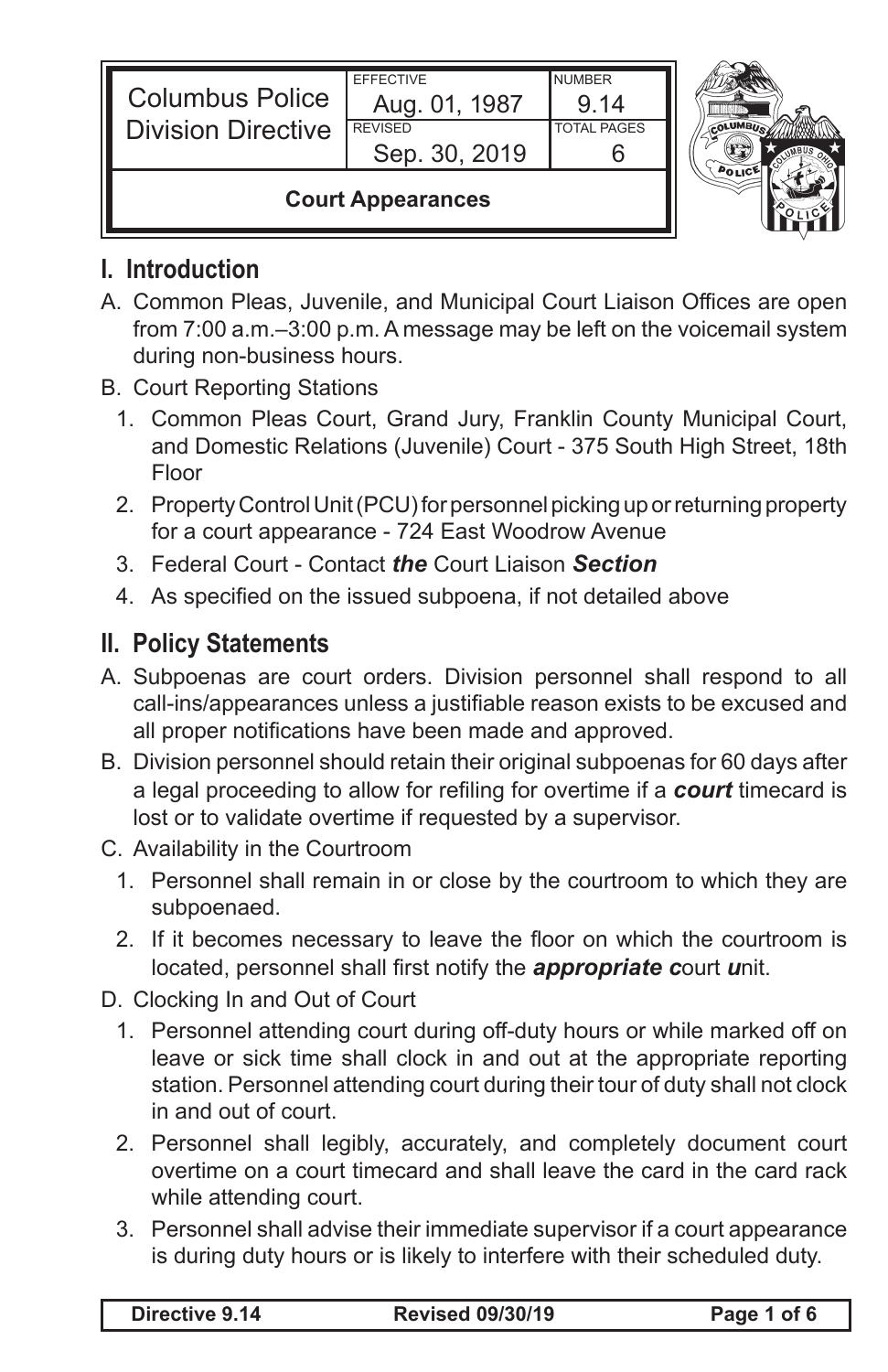| <b>Columbus Police</b><br><b>Division Directive</b> | <b>EFFECTIVE</b><br>Aug. 01, 1987<br><b>REVISED</b><br>Sep. 30, 2019 | <b>NUMBER</b><br>9.14<br><b>TOTAL PAGES</b> |  |
|-----------------------------------------------------|----------------------------------------------------------------------|---------------------------------------------|--|
| <b>Court Appearances</b>                            |                                                                      |                                             |  |

## **I. Introduction**

- A. Common Pleas, Juvenile, and Municipal Court Liaison Offices are open from 7:00 a.m.–3:00 p.m. A message may be left on the voicemail system during non-business hours.
- B. Court Reporting Stations
	- 1. Common Pleas Court, Grand Jury, Franklin County Municipal Court, and Domestic Relations (Juvenile) Court - 375 South High Street, 18th Floor
	- 2. Property Control Unit (PCU) for personnel picking up or returning property for a court appearance - 724 East Woodrow Avenue
	- 3. Federal Court Contact *the* Court Liaison *Section*
	- 4. As specified on the issued subpoena, if not detailed above

## **II. Policy Statements**

- A. Subpoenas are court orders. Division personnel shall respond to all call-ins/appearances unless a justifiable reason exists to be excused and all proper notifications have been made and approved.
- B. Division personnel should retain their original subpoenas for 60 days after a legal proceeding to allow for refiling for overtime if a *court* timecard is lost or to validate overtime if requested by a supervisor.
- C. Availability in the Courtroom
	- 1. Personnel shall remain in or close by the courtroom to which they are subpoenaed.
	- 2. If it becomes necessary to leave the floor on which the courtroom is located, personnel shall first notify the *appropriate c*ourt *u*nit.
- D. Clocking In and Out of Court
	- 1. Personnel attending court during off-duty hours or while marked off on leave or sick time shall clock in and out at the appropriate reporting station. Personnel attending court during their tour of duty shall not clock in and out of court.
	- 2. Personnel shall legibly, accurately, and completely document court overtime on a court timecard and shall leave the card in the card rack while attending court.
	- 3. Personnel shall advise their immediate supervisor if a court appearance is during duty hours or is likely to interfere with their scheduled duty.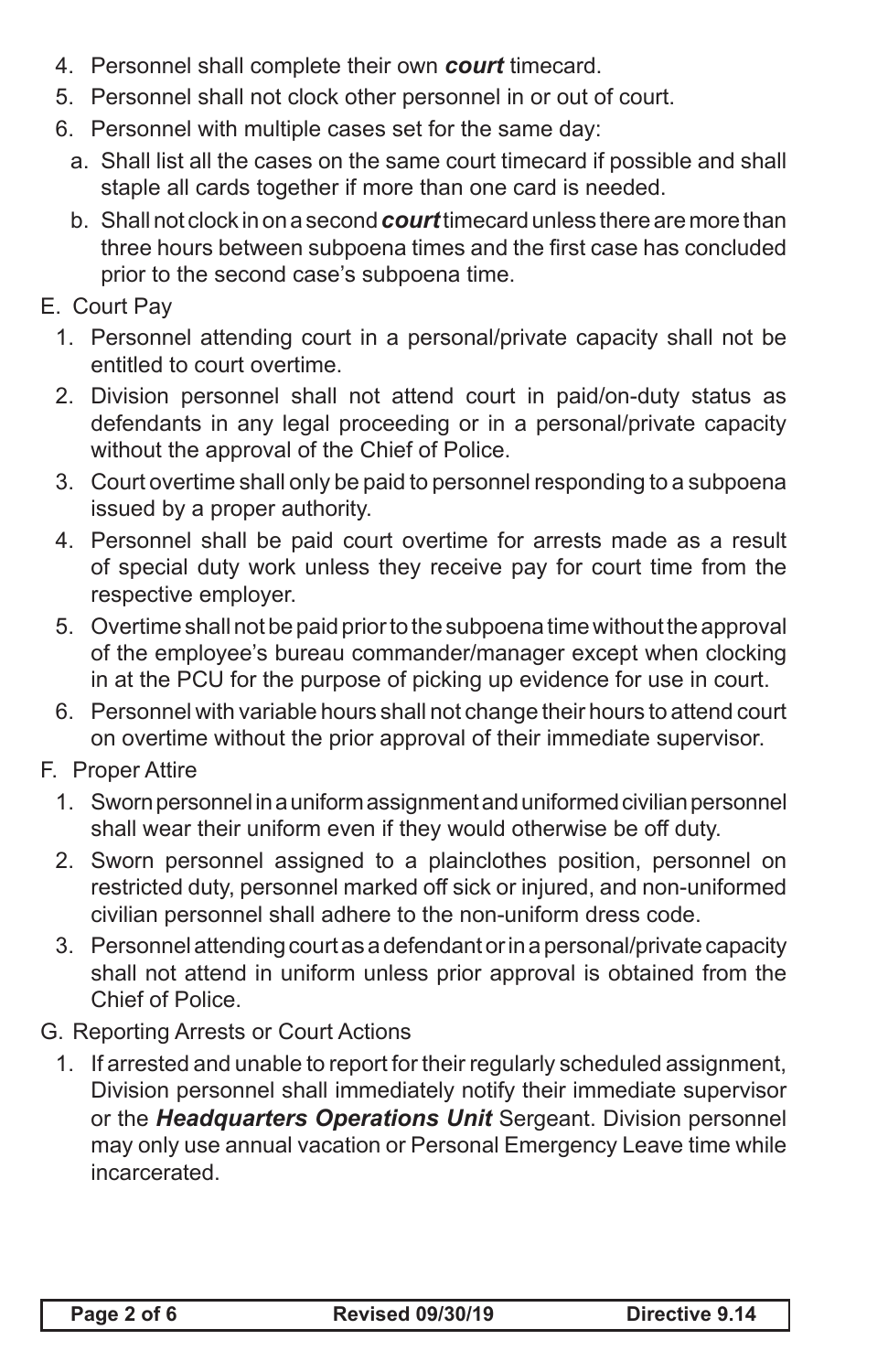- 4. Personnel shall complete their own *court* timecard.
- 5. Personnel shall not clock other personnel in or out of court.
- 6. Personnel with multiple cases set for the same day:
	- a. Shall list all the cases on the same court timecard if possible and shall staple all cards together if more than one card is needed.
	- b. Shall not clock in on a second *court* timecard unless there are more than three hours between subpoena times and the first case has concluded prior to the second case's subpoena time.
- E. Court Pay
	- 1. Personnel attending court in a personal/private capacity shall not be entitled to court overtime.
	- 2. Division personnel shall not attend court in paid/on-duty status as defendants in any legal proceeding or in a personal/private capacity without the approval of the Chief of Police.
	- 3. Court overtime shall only be paid to personnel responding to a subpoena issued by a proper authority.
	- 4. Personnel shall be paid court overtime for arrests made as a result of special duty work unless they receive pay for court time from the respective employer.
	- 5. Overtime shall not be paid prior to the subpoena time without the approval of the employee's bureau commander/manager except when clocking in at the PCU for the purpose of picking up evidence for use in court.
	- 6. Personnel with variable hours shall not change their hours to attend court on overtime without the prior approval of their immediate supervisor.
- F. Proper Attire
	- 1. Sworn personnel in a uniform assignment and uniformed civilian personnel shall wear their uniform even if they would otherwise be off duty.
	- 2. Sworn personnel assigned to a plainclothes position, personnel on restricted duty, personnel marked off sick or injured, and non-uniformed civilian personnel shall adhere to the non-uniform dress code.
	- 3. Personnel attending court as a defendant or in a personal/private capacity shall not attend in uniform unless prior approval is obtained from the Chief of Police.
- G. Reporting Arrests or Court Actions
	- 1. If arrested and unable to report for their regularly scheduled assignment, Division personnel shall immediately notify their immediate supervisor or the *Headquarters Operations Unit* Sergeant. Division personnel may only use annual vacation or Personal Emergency Leave time while incarcerated.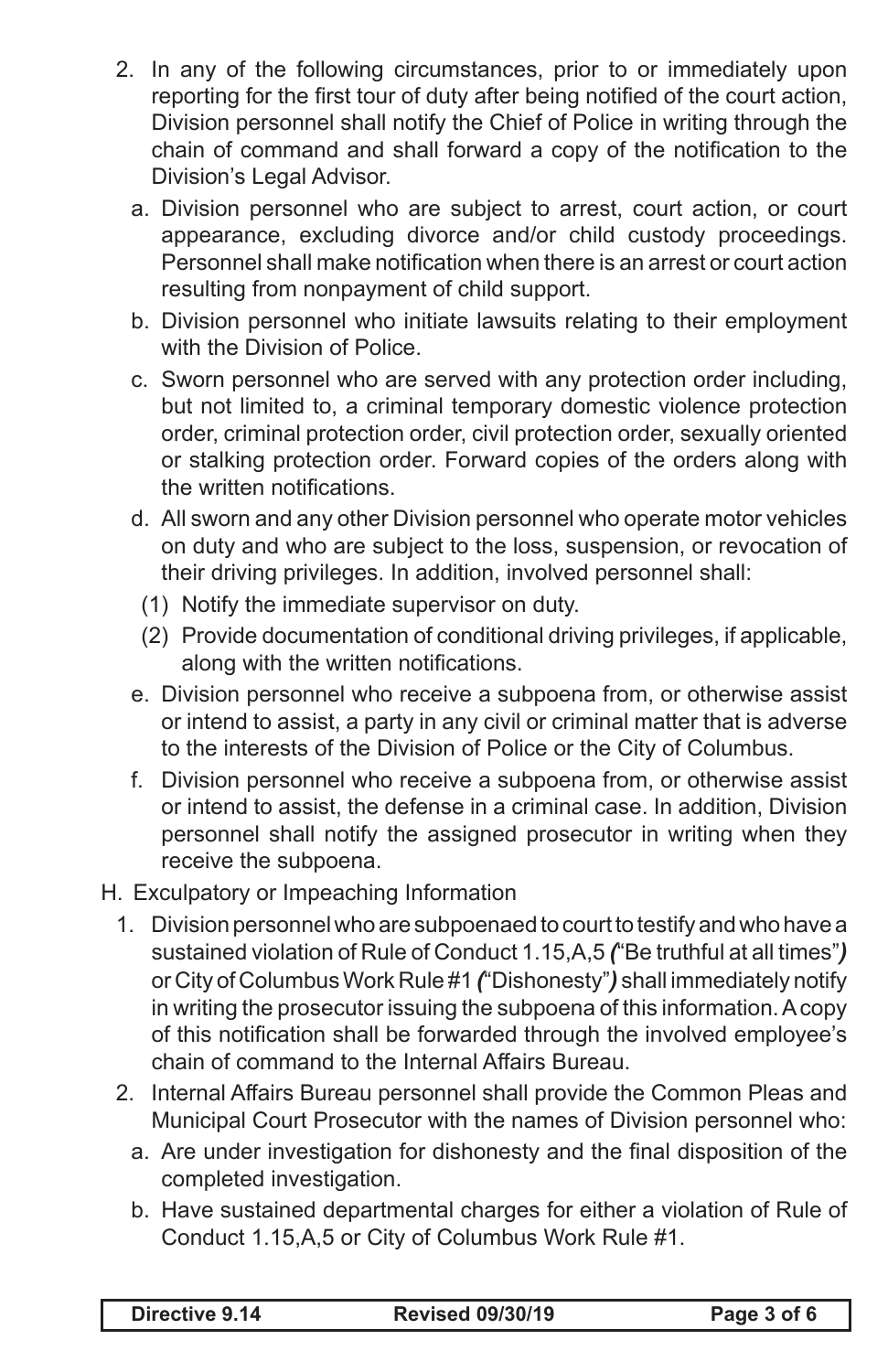- 2. In any of the following circumstances, prior to or immediately upon reporting for the first tour of duty after being notified of the court action, Division personnel shall notify the Chief of Police in writing through the chain of command and shall forward a copy of the notification to the Division's Legal Advisor.
	- a. Division personnel who are subject to arrest, court action, or court appearance, excluding divorce and/or child custody proceedings. Personnel shall make notification when there is an arrest or court action resulting from nonpayment of child support.
	- b. Division personnel who initiate lawsuits relating to their employment with the Division of Police.
	- c. Sworn personnel who are served with any protection order including, but not limited to, a criminal temporary domestic violence protection order, criminal protection order, civil protection order, sexually oriented or stalking protection order. Forward copies of the orders along with the written notifications.
	- d. All sworn and any other Division personnel who operate motor vehicles on duty and who are subject to the loss, suspension, or revocation of their driving privileges. In addition, involved personnel shall:
		- (1) Notify the immediate supervisor on duty.
		- (2) Provide documentation of conditional driving privileges, if applicable, along with the written notifications.
	- e. Division personnel who receive a subpoena from, or otherwise assist or intend to assist, a party in any civil or criminal matter that is adverse to the interests of the Division of Police or the City of Columbus.
	- f. Division personnel who receive a subpoena from, or otherwise assist or intend to assist, the defense in a criminal case. In addition, Division personnel shall notify the assigned prosecutor in writing when they receive the subpoena.

#### H. Exculpatory or Impeaching Information

- 1. Division personnel who are subpoenaed to court to testify and who have a sustained violation of Rule of Conduct 1.15,A,5 *(*"Be truthful at all times"*)*  or City of Columbus Work Rule #1 *(*"Dishonesty"*)* shall immediately notify in writing the prosecutor issuing the subpoena of this information. A copy of this notification shall be forwarded through the involved employee's chain of command to the Internal Affairs Bureau.
- 2. Internal Affairs Bureau personnel shall provide the Common Pleas and Municipal Court Prosecutor with the names of Division personnel who:
	- a. Are under investigation for dishonesty and the final disposition of the completed investigation.
	- b. Have sustained departmental charges for either a violation of Rule of Conduct 1.15,A,5 or City of Columbus Work Rule #1.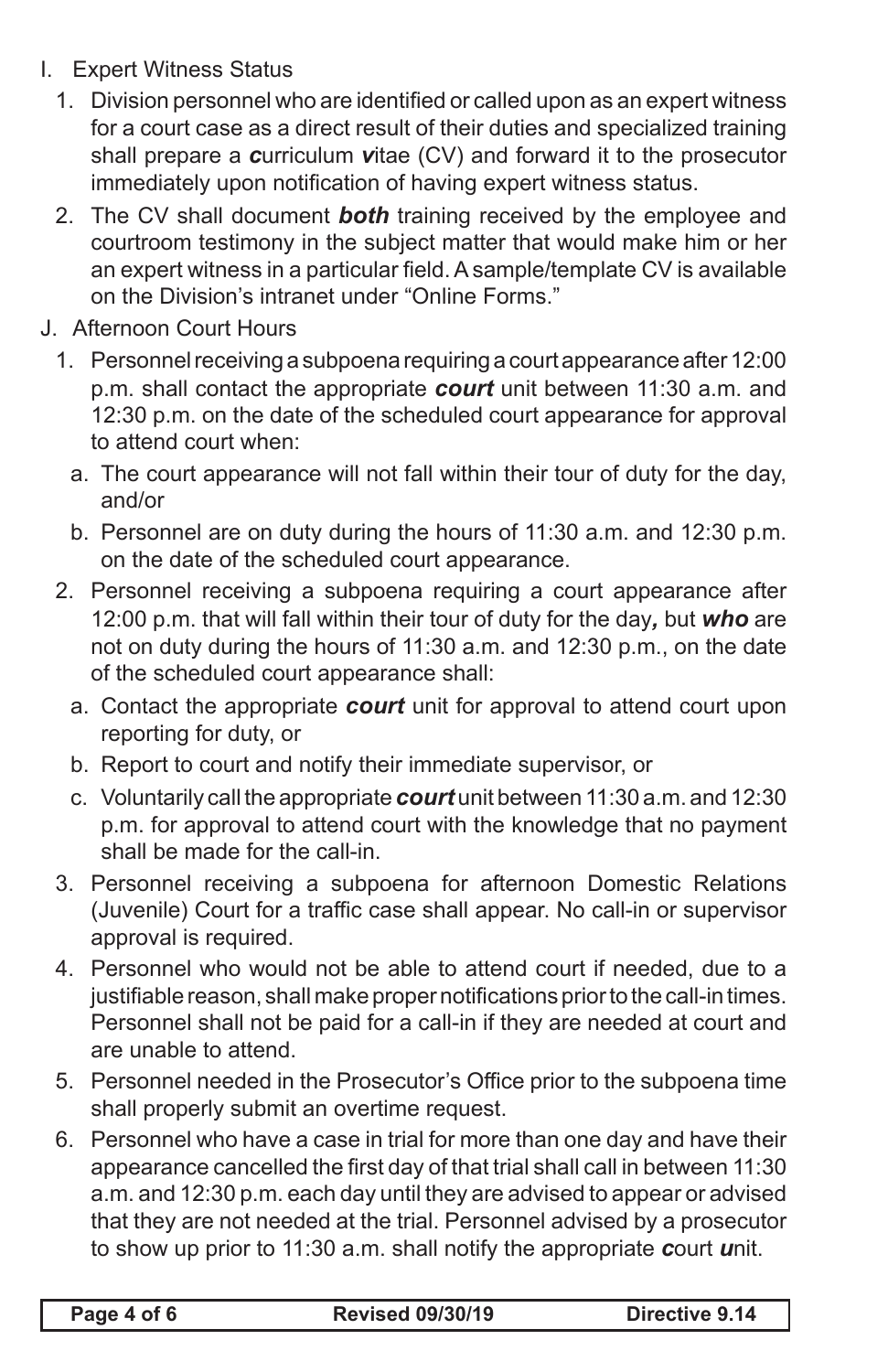- I. Expert Witness Status
	- 1. Division personnel who are identified or called upon as an expert witness for a court case as a direct result of their duties and specialized training shall prepare a *c*urriculum *v*itae (CV) and forward it to the prosecutor immediately upon notification of having expert witness status.
	- 2. The CV shall document *both* training received by the employee and courtroom testimony in the subject matter that would make him or her an expert witness in a particular field.Asample/template CV is available on the Division's intranet under "Online Forms."
- J. Afternoon Court Hours
	- 1. Personnel receiving a subpoena requiring a court appearance after 12:00 p.m. shall contact the appropriate *court* unit between 11:30 a.m. and 12:30 p.m. on the date of the scheduled court appearance for approval to attend court when:
		- a. The court appearance will not fall within their tour of duty for the day, and/or
		- b. Personnel are on duty during the hours of 11:30 a.m. and 12:30 p.m. on the date of the scheduled court appearance.
	- 2. Personnel receiving a subpoena requiring a court appearance after 12:00 p.m. that will fall within their tour of duty for the day*,* but *who* are not on duty during the hours of 11:30 a.m. and 12:30 p.m., on the date of the scheduled court appearance shall:
		- a. Contact the appropriate *court* unit for approval to attend court upon reporting for duty, or
		- b. Report to court and notify their immediate supervisor, or
		- c. Voluntarily call the appropriate *court* unit between 11:30 a.m. and 12:30 p.m. for approval to attend court with the knowledge that no payment shall be made for the call-in.
	- 3. Personnel receiving a subpoena for afternoon Domestic Relations (Juvenile) Court for a traffic case shall appear. No call-in or supervisor approval is required.
	- 4. Personnel who would not be able to attend court if needed, due to a justifiable reason, shall make proper notifications prior to the call-in times. Personnel shall not be paid for a call-in if they are needed at court and are unable to attend.
	- 5. Personnel needed in the Prosecutor's Office prior to the subpoena time shall properly submit an overtime request.
	- 6. Personnel who have a case in trial for more than one day and have their appearance cancelled the first day of that trial shall call in between 11:30 a.m. and 12:30 p.m. each day until they are advised to appear or advised that they are not needed at the trial. Personnel advised by a prosecutor to show up prior to 11:30 a.m. shall notify the appropriate *c*ourt *u*nit.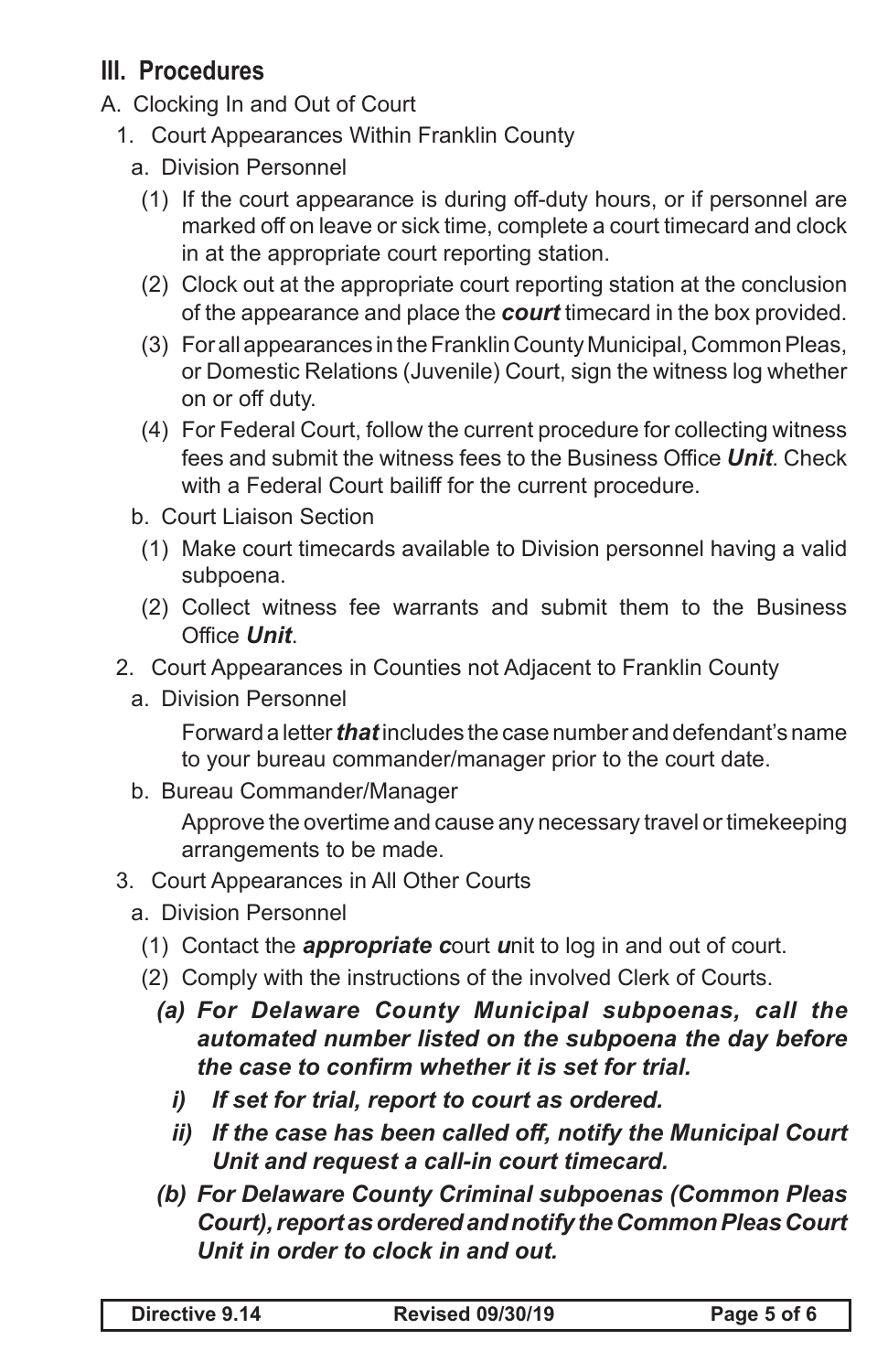# **III. Procedures**

- A. Clocking In and Out of Court
	- 1. Court Appearances Within Franklin County
		- a. Division Personnel
			- (1) If the court appearance is during off-duty hours, or if personnel are marked off on leave or sick time, complete a court timecard and clock in at the appropriate court reporting station.
			- (2) Clock out at the appropriate court reporting station at the conclusion of the appearance and place the *court* timecard in the box provided.
			- (3) For all appearances in the Franklin County Municipal, Common Pleas, or Domestic Relations (Juvenile) Court, sign the witness log whether on or off duty.
			- (4) For Federal Court, follow the current procedure for collecting witness fees and submit the witness fees to the Business Office *Unit*. Check with a Federal Court bailiff for the current procedure.
		- b. Court Liaison Section
		- (1) Make court timecards available to Division personnel having a valid subpoena.
		- (2) Collect witness fee warrants and submit them to the Business Office *Unit*.
	- 2. Court Appearances in Counties not Adjacent to Franklin County
		- a. Division Personnel

Forward a letter *that* includes the case number and defendant's name to your bureau commander/manager prior to the court date.

b. Bureau Commander/Manager

Approve the overtime and cause any necessary travel or timekeeping arrangements to be made.

- 3. Court Appearances in All Other Courts
	- a. Division Personnel
		- (1) Contact the *appropriate c*ourt *u*nit to log in and out of court.
		- (2) Comply with the instructions of the involved Clerk of Courts.
			- *(a) For Delaware County Municipal subpoenas, call the automated number listed on the subpoena the day before the case to confirm whether it is set for trial.*
				- *i) If set for trial, report to court as ordered.*
				- *ii) If the case has been called off, notify the Municipal Court Unit and request a call-in court timecard.*
			- *(b) For Delaware County Criminal subpoenas (Common Pleas Court), report as ordered and notify the Common Pleas Court Unit in order to clock in and out.*